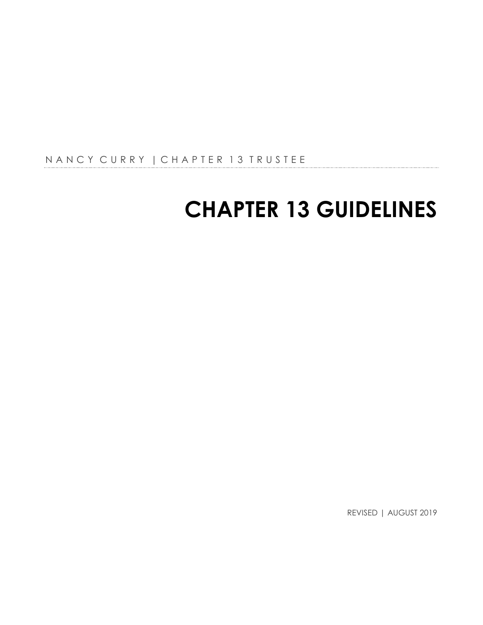N A N C Y C U R R Y | C H A P T E R 13 T R U S T E E

# **CHAPTER 13 GUIDELINES**

REVISED | AUGUST 2019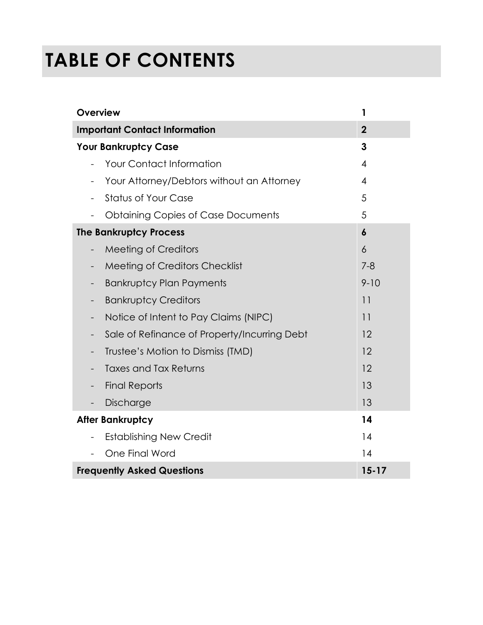# **TABLE OF CONTENTS**

| <b>Overview</b>                                                       | 1                |
|-----------------------------------------------------------------------|------------------|
| <b>Important Contact Information</b>                                  | $\overline{2}$   |
| <b>Your Bankruptcy Case</b>                                           | 3                |
| <b>Your Contact Information</b>                                       | $\overline{4}$   |
| Your Attorney/Debtors without an Attorney<br>$\overline{\phantom{a}}$ | $\overline{4}$   |
| <b>Status of Your Case</b><br>$\overline{\phantom{a}}$                | 5                |
| <b>Obtaining Copies of Case Documents</b>                             | 5                |
| <b>The Bankruptcy Process</b>                                         | $\boldsymbol{6}$ |
| <b>Meeting of Creditors</b><br>$\qquad \qquad -$                      | $\overline{6}$   |
| Meeting of Creditors Checklist<br>$\qquad \qquad -$                   | $7 - 8$          |
| <b>Bankruptcy Plan Payments</b>                                       | $9 - 10$         |
| <b>Bankruptcy Creditors</b><br>$\overline{\phantom{a}}$               | 11               |
| Notice of Intent to Pay Claims (NIPC)<br>$\qquad \qquad -$            | 11               |
| Sale of Refinance of Property/Incurring Debt                          | 12               |
| Trustee's Motion to Dismiss (TMD)                                     | 12               |
| <b>Taxes and Tax Returns</b>                                          | 12               |
| <b>Final Reports</b><br>-                                             | 13               |
| Discharge                                                             | 13               |
| <b>After Bankruptcy</b>                                               | 14               |
| <b>Establishing New Credit</b>                                        | 14               |
| One Final Word                                                        | 14               |
| <b>Frequently Asked Questions</b>                                     | $15 - 17$        |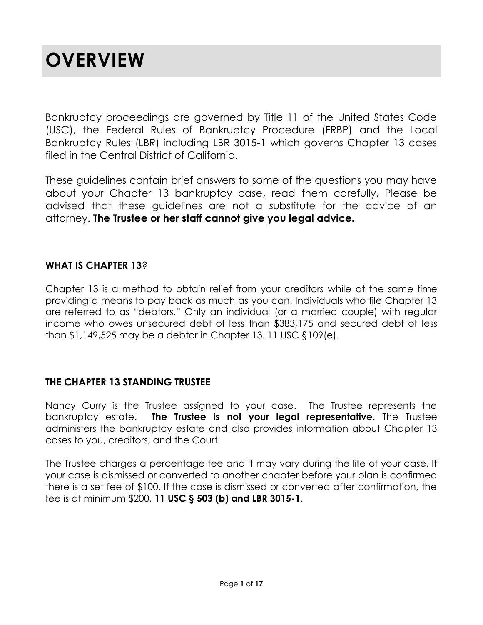## **OVERVIEW**

Bankruptcy proceedings are governed by Title 11 of the United States Code (USC), the Federal Rules of Bankruptcy Procedure (FRBP) and the Local Bankruptcy Rules (LBR) including LBR 3015-1 which governs Chapter 13 cases filed in the Central District of California.

These guidelines contain brief answers to some of the questions you may have about your Chapter 13 bankruptcy case, read them carefully. Please be advised that these guidelines are not a substitute for the advice of an attorney. **The Trustee or her staff cannot give you legal advice.**

### **WHAT IS CHAPTER 13**?

Chapter 13 is a method to obtain relief from your creditors while at the same time providing a means to pay back as much as you can. Individuals who file Chapter 13 are referred to as "debtors." Only an individual (or a married couple) with regular income who owes unsecured debt of less than \$383,175 and secured debt of less than \$1,149,525 may be a debtor in Chapter 13. 11 USC §109(e).

### **THE CHAPTER 13 STANDING TRUSTEE**

Nancy Curry is the Trustee assigned to your case. The Trustee represents the bankruptcy estate. **The Trustee is not your legal representative**. The Trustee administers the bankruptcy estate and also provides information about Chapter 13 cases to you, creditors, and the Court.

The Trustee charges a percentage fee and it may vary during the life of your case. If your case is dismissed or converted to another chapter before your plan is confirmed there is a set fee of \$100. If the case is dismissed or converted after confirmation, the fee is at minimum \$200. **11 USC § 503 (b) and LBR 3015-1**.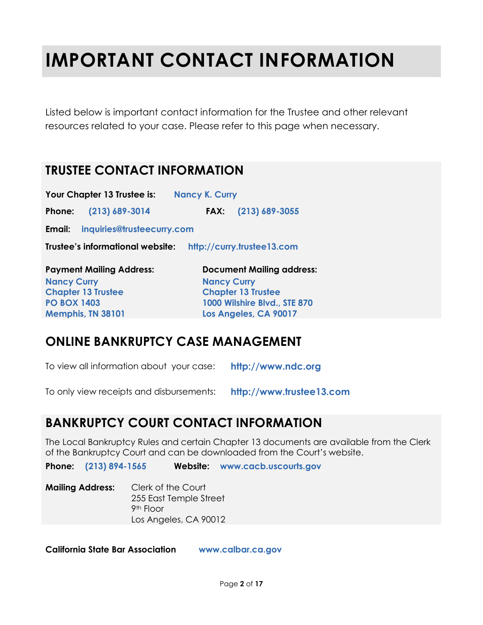# **IMPORTANT CONTACT INFORMATION**

Listed below is important contact information for the Trustee and other relevant resources related to your case. Please refer to this page when necessary.

### **TRUSTEE CONTACT INFORMATION**

**Your Chapter 13 Trustee is: Nancy K. Curry**

**Phone: (213) 689-3014 FAX: (213) 689-3055**

**Email: inquiries@trusteecurry.com**

**Trustee's informational website: http://curry.trustee13.com**

| <b>Payment Mailing Address:</b> | <b>Document Mailing address:</b> |
|---------------------------------|----------------------------------|
| <b>Nancy Curry</b>              | <b>Nancy Curry</b>               |
| <b>Chapter 13 Trustee</b>       | <b>Chapter 13 Trustee</b>        |
| <b>PO BOX 1403</b>              | 1000 Wilshire Blvd., STE 870     |
| Memphis, TN 38101               | Los Angeles, CA 90017            |

### **ONLINE BANKRUPTCY CASE MANAGEMENT**

To view all information about your case: **http://www.ndc.org**

To only view receipts and disbursements: **http://www.trustee13.com**

### **BANKRUPTCY COURT CONTACT INFORMATION**

The Local Bankruptcy Rules and certain Chapter 13 documents are available from the Clerk of the Bankruptcy Court and can be downloaded from the Court's website.

**Phone: (213) 894-1565 Website: www.cacb.uscourts.gov**

**Mailing Address:** Clerk of the Court 255 East Temple Street 9th Floor Los Angeles, CA 90012

**California State Bar Association www.calbar.ca.gov**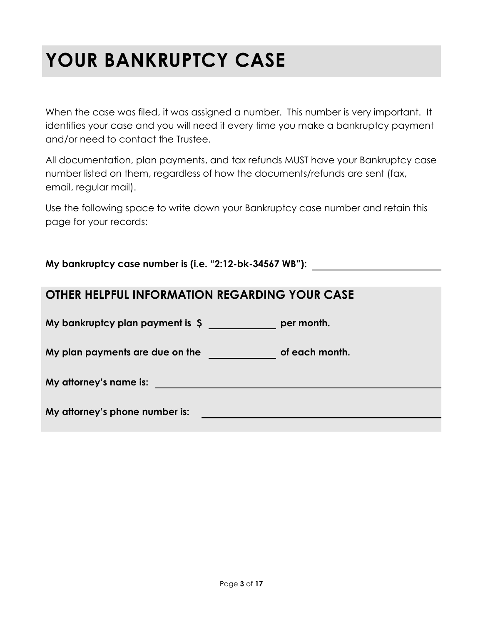# **YOUR BANKRUPTCY CASE**

When the case was filed, it was assigned a number. This number is very important. It identifies your case and you will need it every time you make a bankruptcy payment and/or need to contact the Trustee.

All documentation, plan payments, and tax refunds MUST have your Bankruptcy case number listed on them, regardless of how the documents/refunds are sent (fax, email, regular mail).

Use the following space to write down your Bankruptcy case number and retain this page for your records:

**My bankruptcy case number is (i.e. "2:12-bk-34567 WB"):**

| OTHER HELPFUL INFORMATION REGARDING YOUR CASE |
|-----------------------------------------------|
|-----------------------------------------------|

**My bankruptcy plan payment is \$ per month.**

**My plan payments are due on the of each month.**

**My attorney's name is:**

**My attorney's phone number is:**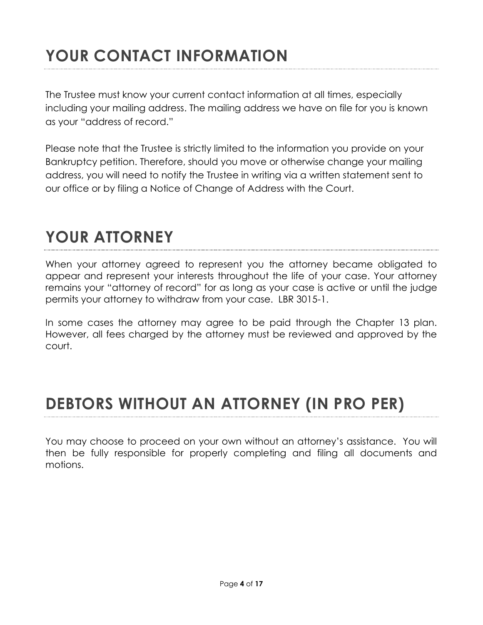## **YOUR CONTACT INFORMATION**

The Trustee must know your current contact information at all times, especially including your mailing address. The mailing address we have on file for you is known as your "address of record."

Please note that the Trustee is strictly limited to the information you provide on your Bankruptcy petition. Therefore, should you move or otherwise change your mailing address, you will need to notify the Trustee in writing via a written statement sent to our office or by filing a Notice of Change of Address with the Court.

### **YOUR ATTORNEY**

When your attorney agreed to represent you the attorney became obligated to appear and represent your interests throughout the life of your case. Your attorney remains your "attorney of record" for as long as your case is active or until the judge permits your attorney to withdraw from your case. LBR 3015-1.

In some cases the attorney may agree to be paid through the Chapter 13 plan. However, all fees charged by the attorney must be reviewed and approved by the court.

### **DEBTORS WITHOUT AN ATTORNEY (IN PRO PER)**

You may choose to proceed on your own without an attorney's assistance. You will then be fully responsible for properly completing and filing all documents and motions.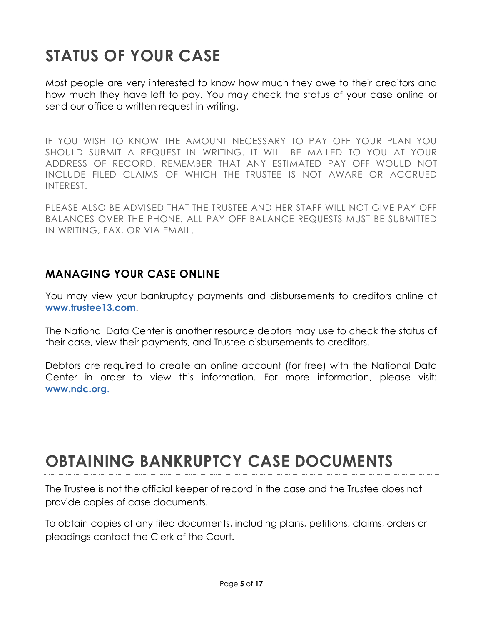## **STATUS OF YOUR CASE**

Most people are very interested to know how much they owe to their creditors and how much they have left to pay. You may check the status of your case online or send our office a written request in writing.

IF YOU WISH TO KNOW THE AMOUNT NECESSARY TO PAY OFF YOUR PLAN YOU SHOULD SUBMIT A REQUEST IN WRITING. IT WILL BE MAILED TO YOU AT YOUR ADDRESS OF RECORD. REMEMBER THAT ANY ESTIMATED PAY OFF WOULD NOT INCLUDE FILED CLAIMS OF WHICH THE TRUSTEE IS NOT AWARE OR ACCRUED INTEREST.

PLEASE ALSO BE ADVISED THAT THE TRUSTEE AND HER STAFF WILL NOT GIVE PAY OFF BALANCES OVER THE PHONE. ALL PAY OFF BALANCE REQUESTS MUST BE SUBMITTED IN WRITING, FAX, OR VIA EMAIL.

### **MANAGING YOUR CASE ONLINE**

You may view your bankruptcy payments and disbursements to creditors online at **www.trustee13.com**.

The National Data Center is another resource debtors may use to check the status of their case, view their payments, and Trustee disbursements to creditors.

Debtors are required to create an online account (for free) with the National Data Center in order to view this information. For more information, please visit: **www.ndc.org**.

### **OBTAINING BANKRUPTCY CASE DOCUMENTS**

The Trustee is not the official keeper of record in the case and the Trustee does not provide copies of case documents.

To obtain copies of any filed documents, including plans, petitions, claims, orders or pleadings contact the Clerk of the Court.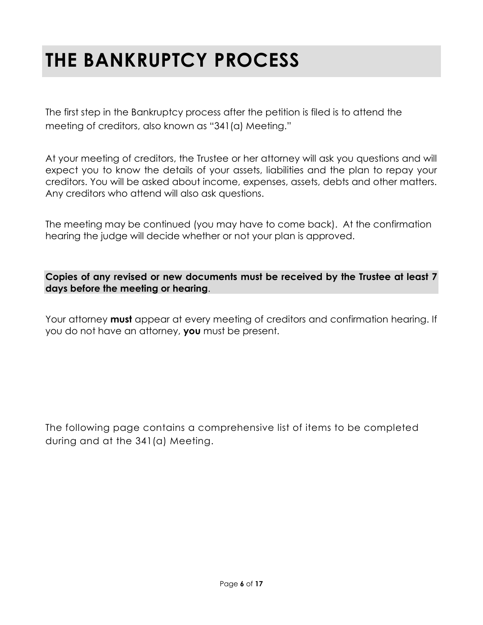## **THE BANKRUPTCY PROCESS**

The first step in the Bankruptcy process after the petition is filed is to attend the meeting of creditors, also known as "341(a) Meeting."

At your meeting of creditors, the Trustee or her attorney will ask you questions and will expect you to know the details of your assets, liabilities and the plan to repay your creditors. You will be asked about income, expenses, assets, debts and other matters. Any creditors who attend will also ask questions.

The meeting may be continued (you may have to come back). At the confirmation hearing the judge will decide whether or not your plan is approved.

**Copies of any revised or new documents must be received by the Trustee at least 7 days before the meeting or hearing**.

Your attorney **must** appear at every meeting of creditors and confirmation hearing. If you do not have an attorney, **you** must be present.

The following page contains a comprehensive list of items to be completed during and at the 341(a) Meeting.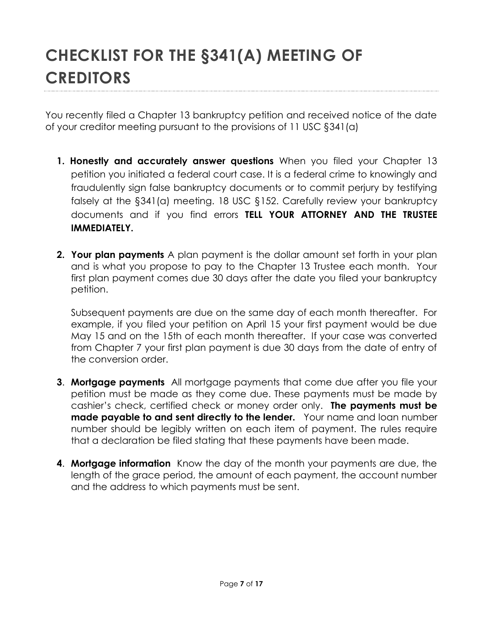You recently filed a Chapter 13 bankruptcy petition and received notice of the date of your creditor meeting pursuant to the provisions of 11 USC §341(a)

- **1. Honestly and accurately answer questions** When you filed your Chapter 13 petition you initiated a federal court case. It is a federal crime to knowingly and fraudulently sign false bankruptcy documents or to commit perjury by testifying falsely at the §341(a) meeting. 18 USC §152. Carefully review your bankruptcy documents and if you find errors **TELL YOUR ATTORNEY AND THE TRUSTEE IMMEDIATELY.**
- **2. Your plan payments** A plan payment is the dollar amount set forth in your plan and is what you propose to pay to the Chapter 13 Trustee each month. Your first plan payment comes due 30 days after the date you filed your bankruptcy petition.

Subsequent payments are due on the same day of each month thereafter. For example, if you filed your petition on April 15 your first payment would be due May 15 and on the 15th of each month thereafter. If your case was converted from Chapter 7 your first plan payment is due 30 days from the date of entry of the conversion order.

- **3**. **Mortgage payments** All mortgage payments that come due after you file your petition must be made as they come due. These payments must be made by cashier's check, certified check or money order only. **The payments must be made payable to and sent directly to the lender.** Your name and loan number number should be legibly written on each item of payment. The rules require that a declaration be filed stating that these payments have been made.
- **4**. **Mortgage information** Know the day of the month your payments are due, the length of the grace period, the amount of each payment, the account number and the address to which payments must be sent.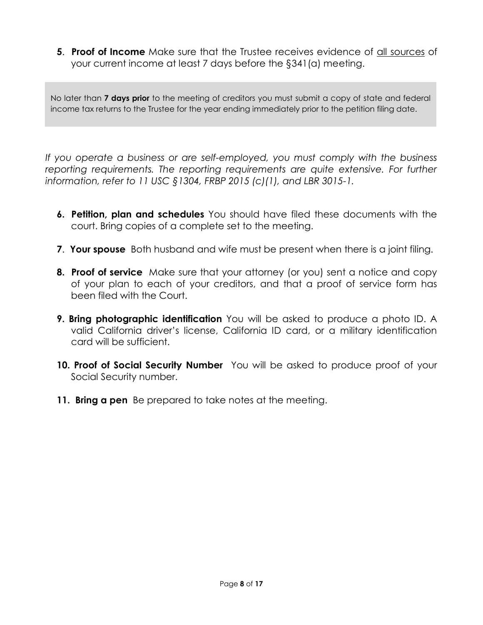**5**. **Proof of Income** Make sure that the Trustee receives evidence of all sources of your current income at least 7 days before the §341(a) meeting.

No later than **7 days prior** to the meeting of creditors you must submit a copy of state and federal income tax returns to the Trustee for the year ending immediately prior to the petition filing date.

*If you operate a business or are self-employed, you must comply with the business reporting requirements. The reporting requirements are quite extensive. For further information, refer to 11 USC §1304, FRBP 2015 (c)(1), and LBR 3015-1.* 

- **6. Petition, plan and schedules** You should have filed these documents with the court. Bring copies of a complete set to the meeting.
- **7**. **Your spouse** Both husband and wife must be present when there is a joint filing.
- **8. Proof of service** Make sure that your attorney (or you) sent a notice and copy of your plan to each of your creditors, and that a proof of service form has been filed with the Court.
- **9. Bring photographic identification** You will be asked to produce a photo ID. A valid California driver's license, California ID card, or a military identification card will be sufficient.
- **10. Proof of Social Security Number** You will be asked to produce proof of your Social Security number.
- **11. Bring a pen** Be prepared to take notes at the meeting.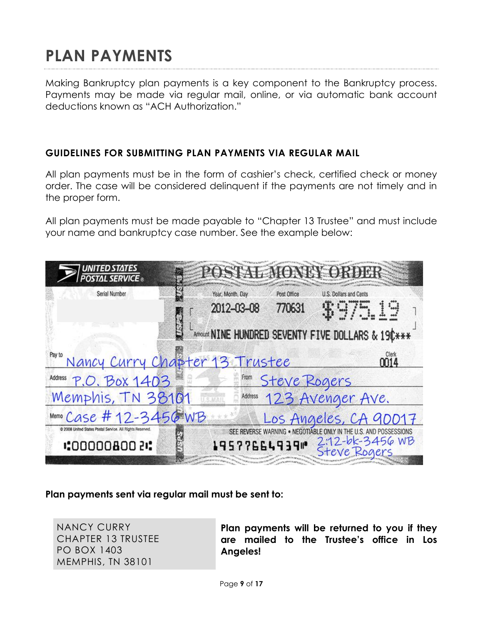## **PLAN PAYMENTS**

Making Bankruptcy plan payments is a key component to the Bankruptcy process. Payments may be made via regular mail, online, or via automatic bank account deductions known as "ACH Authorization."

#### **GUIDELINES FOR SUBMITTING PLAN PAYMENTS VIA REGULAR MAIL**

All plan payments must be in the form of cashier's check, certified check or money order. The case will be considered delinquent if the payments are not timely and in the proper form.

All plan payments must be made payable to "Chapter 13 Trustee" and must include your name and bankruptcy case number. See the example below:

| <b>UNITED STATES</b><br>POSTAL SERVICE ®                                  |                                                                                   |                                 |  |  |
|---------------------------------------------------------------------------|-----------------------------------------------------------------------------------|---------------------------------|--|--|
| Serial Number                                                             | Year, Month, Day<br>Post Office<br>U.S. Dollars and Cents<br>2012-03-08<br>770631 | \$975.19                        |  |  |
| Amount NINE HUNDRED SEVENTY FIVE DOLLARS & 190***                         |                                                                                   |                                 |  |  |
| Pay to                                                                    | Nancy Curry Chapter 13 Trustee                                                    | Clerk<br>M14                    |  |  |
| Address P.O. BOX 1403                                                     | Steve Rogers                                                                      |                                 |  |  |
| Memphis, TN 38101                                                         | Address 123 Avenger Ave.                                                          |                                 |  |  |
| Memo Case #12-3456 WB                                                     | Los Angeles, CA 90017                                                             |                                 |  |  |
| C 2008 United States Postal Service. All Rights Reserved.<br>:00000800 ?: | SEE REVERSE WARNING . NEGOTIABLE ONLY IN<br>195776649391                          | 2:12-bk-3456 WB<br>Steve Rogers |  |  |

### **Plan payments sent via regular mail must be sent to:**

NANCY CURRY CHAPTER 13 TRUSTEE PO BOX 1403 MEMPHIS, TN 38101

**Plan payments will be returned to you if they are mailed to the Trustee's office in Los Angeles!**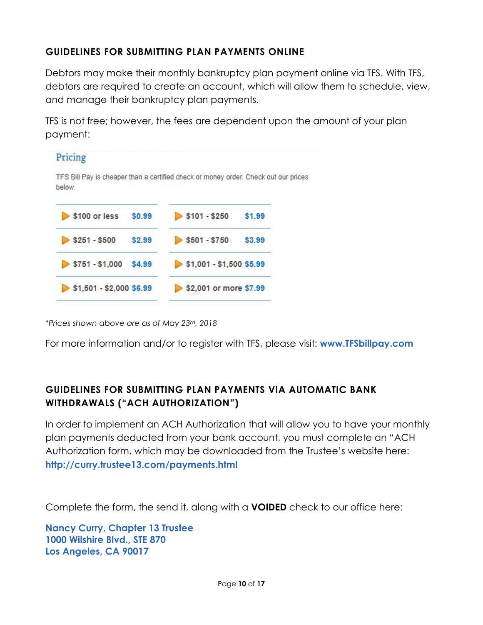### **GUIDELINES FOR SUBMITTING PLAN PAYMENTS ONLINE**

Debtors may make their monthly bankruptcy plan payment online via TFS. With TFS, debtors are required to create an account, which will allow them to schedule, view, and manage their bankruptcy plan payments.

TFS is not free; however, the fees are dependent upon the amount of your plan payment:



*\*Prices shown above are as of May 23rd, 2018*

For more information and/or to register with TFS, please visit: **www.TFSbillpay.com**

### **GUIDELINES FOR SUBMITTING PLAN PAYMENTS VIA AUTOMATIC BANK WITHDRAWALS ("ACH AUTHORIZATION")**

In order to implement an ACH Authorization that will allow you to have your monthly plan payments deducted from your bank account, you must complete an "ACH Authorization form, which may be downloaded from the Trustee's website here: **http://curry.trustee13.com/payments.html**

Complete the form, the send it, along with a **VOIDED** check to our office here:

**Nancy Curry, Chapter 13 Trustee 1000 Wilshire Blvd., STE 870 Los Angeles, CA 90017**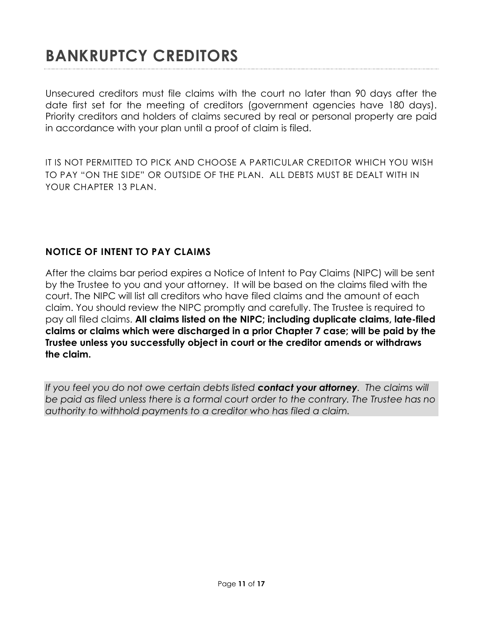### **BANKRUPTCY CREDITORS**

Unsecured creditors must file claims with the court no later than 90 days after the date first set for the meeting of creditors (government agencies have 180 days). Priority creditors and holders of claims secured by real or personal property are paid in accordance with your plan until a proof of claim is filed.

IT IS NOT PERMITTED TO PICK AND CHOOSE A PARTICULAR CREDITOR WHICH YOU WISH TO PAY "ON THE SIDE" OR OUTSIDE OF THE PLAN. ALL DEBTS MUST BE DEALT WITH IN YOUR CHAPTER 13 PLAN.

### **NOTICE OF INTENT TO PAY CLAIMS**

After the claims bar period expires a Notice of Intent to Pay Claims (NIPC) will be sent by the Trustee to you and your attorney. It will be based on the claims filed with the court. The NIPC will list all creditors who have filed claims and the amount of each claim. You should review the NIPC promptly and carefully. The Trustee is required to pay all filed claims. **All claims listed on the NIPC; including duplicate claims, late-filed claims or claims which were discharged in a prior Chapter 7 case; will be paid by the Trustee unless you successfully object in court or the creditor amends or withdraws the claim.** 

*If you feel you do not owe certain debts listed contact your attorney. The claims will be paid as filed unless there is a formal court order to the contrary. The Trustee has no authority to withhold payments to a creditor who has filed a claim.*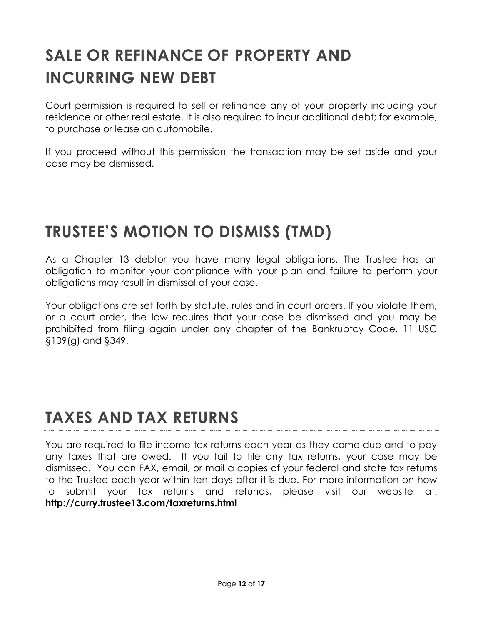## **SALE OR REFINANCE OF PROPERTY AND INCURRING NEW DEBT**

Court permission is required to sell or refinance any of your property including your residence or other real estate. It is also required to incur additional debt; for example, to purchase or lease an automobile.

If you proceed without this permission the transaction may be set aside and your case may be dismissed.

### **TRUSTEE'S MOTION TO DISMISS (TMD)**

As a Chapter 13 debtor you have many legal obligations. The Trustee has an obligation to monitor your compliance with your plan and failure to perform your obligations may result in dismissal of your case.

Your obligations are set forth by statute, rules and in court orders. If you violate them, or a court order, the law requires that your case be dismissed and you may be prohibited from filing again under any chapter of the Bankruptcy Code. 11 USC §109(g) and §349.

## **TAXES AND TAX RETURNS**

You are required to file income tax returns each year as they come due and to pay any taxes that are owed. If you fail to file any tax returns, your case may be dismissed. You can FAX, email, or mail a copies of your federal and state tax returns to the Trustee each year within ten days after it is due. For more information on how to submit your tax returns and refunds, please visit our website at: **http://curry.trustee13.com/taxreturns.html**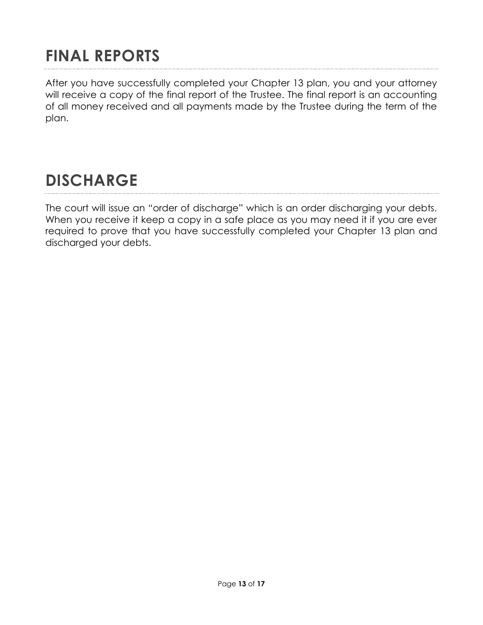## **FINAL REPORTS**

After you have successfully completed your Chapter 13 plan, you and your attorney will receive a copy of the final report of the Trustee. The final report is an accounting of all money received and all payments made by the Trustee during the term of the plan.

### **DISCHARGE**

The court will issue an "order of discharge" which is an order discharging your debts. When you receive it keep a copy in a safe place as you may need it if you are ever required to prove that you have successfully completed your Chapter 13 plan and discharged your debts.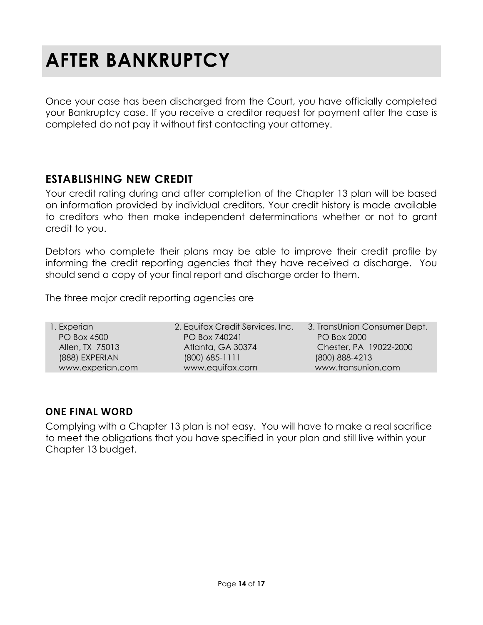# **AFTER BANKRUPTCY**

Once your case has been discharged from the Court, you have officially completed your Bankruptcy case. If you receive a creditor request for payment after the case is completed do not pay it without first contacting your attorney.

### **ESTABLISHING NEW CREDIT**

Your credit rating during and after completion of the Chapter 13 plan will be based on information provided by individual creditors. Your credit history is made available to creditors who then make independent determinations whether or not to grant credit to you.

Debtors who complete their plans may be able to improve their credit profile by informing the credit reporting agencies that they have received a discharge. You should send a copy of your final report and discharge order to them.

The three major credit reporting agencies are

| 1. Experian        | 2. Equifax Credit Services, Inc. | 3. TransUnion Consumer Dept. |
|--------------------|----------------------------------|------------------------------|
| <b>PO Box 4500</b> | PO Box 740241                    | <b>PO Box 2000</b>           |
| Allen, TX 75013    | Atlanta, GA 30374                | Chester, PA 19022-2000       |
| (888) EXPERIAN     | $(800)$ 685-1111                 | (800) 888-4213               |
| www.experian.com   | www.equifax.com                  | www.transunion.com           |

### **ONE FINAL WORD**

Complying with a Chapter 13 plan is not easy. You will have to make a real sacrifice to meet the obligations that you have specified in your plan and still live within your Chapter 13 budget.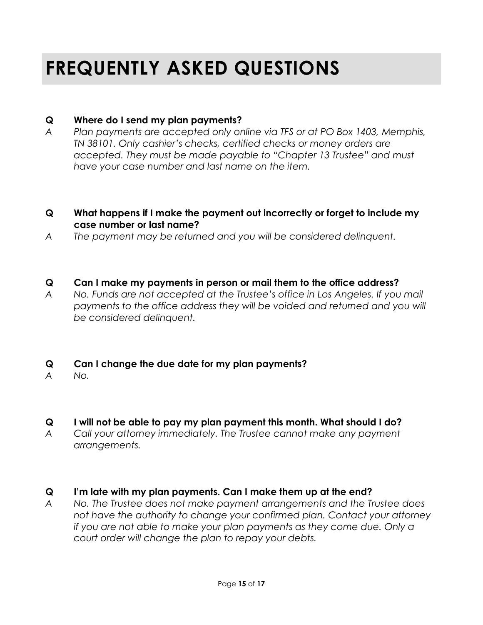## **FREQUENTLY ASKED QUESTIONS**

### **Q Where do I send my plan payments?**

*A Plan payments are accepted only online via TFS or at PO Box 1403, Memphis, TN 38101. Only cashier's checks, certified checks or money orders are accepted. They must be made payable to "Chapter 13 Trustee" and must have your case number and last name on the item.* 

#### **Q What happens if I make the payment out incorrectly or forget to include my case number or last name?**

*A The payment may be returned and you will be considered delinquent.* 

#### **Q Can I make my payments in person or mail them to the office address?**

*A No. Funds are not accepted at the Trustee's office in Los Angeles. If you mail payments to the office address they will be voided and returned and you will be considered delinquent.*

### **Q Can I change the due date for my plan payments?**

*A No.*

### **Q I will not be able to pay my plan payment this month. What should I do?** *A Call your attorney immediately. The Trustee cannot make any payment*

*arrangements.* 

### **Q I'm late with my plan payments. Can I make them up at the end?**

*A No. The Trustee does not make payment arrangements and the Trustee does not have the authority to change your confirmed plan. Contact your attorney if you are not able to make your plan payments as they come due. Only a court order will change the plan to repay your debts.*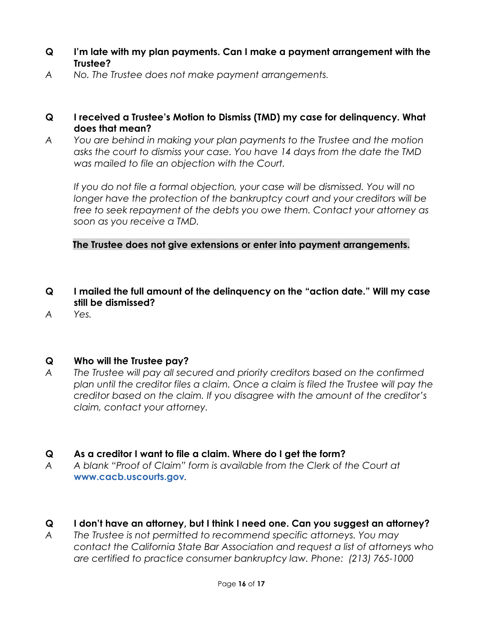- **Q I'm late with my plan payments. Can I make a payment arrangement with the Trustee?**
- *A No. The Trustee does not make payment arrangements.*
- **Q I received a Trustee's Motion to Dismiss (TMD) my case for delinquency. What does that mean?**
- *A You are behind in making your plan payments to the Trustee and the motion asks the court to dismiss your case. You have 14 days from the date the TMD was mailed to file an objection with the Court.*

*If you do not file a formal objection, your case will be dismissed. You will no longer have the protection of the bankruptcy court and your creditors will be free to seek repayment of the debts you owe them. Contact your attorney as soon as you receive a TMD.* 

**The Trustee does not give extensions or enter into payment arrangements.**

- **Q I mailed the full amount of the delinquency on the "action date." Will my case still be dismissed?**
- *A Yes.*

### **Q Who will the Trustee pay?**

*A The Trustee will pay all secured and priority creditors based on the confirmed plan until the creditor files a claim. Once a claim is filed the Trustee will pay the creditor based on the claim. If you disagree with the amount of the creditor's claim, contact your attorney.*

#### **Q As a creditor I want to file a claim. Where do I get the form?**

*A A blank "Proof of Claim" form is available from the Clerk of the Court at*  **www.cacb.uscourts.gov***.* 

### **Q I don't have an attorney, but I think I need one. Can you suggest an attorney?**

*A The Trustee is not permitted to recommend specific attorneys. You may contact the California State Bar Association and request a list of attorneys who are certified to practice consumer bankruptcy law. Phone: (213) 765-1000*